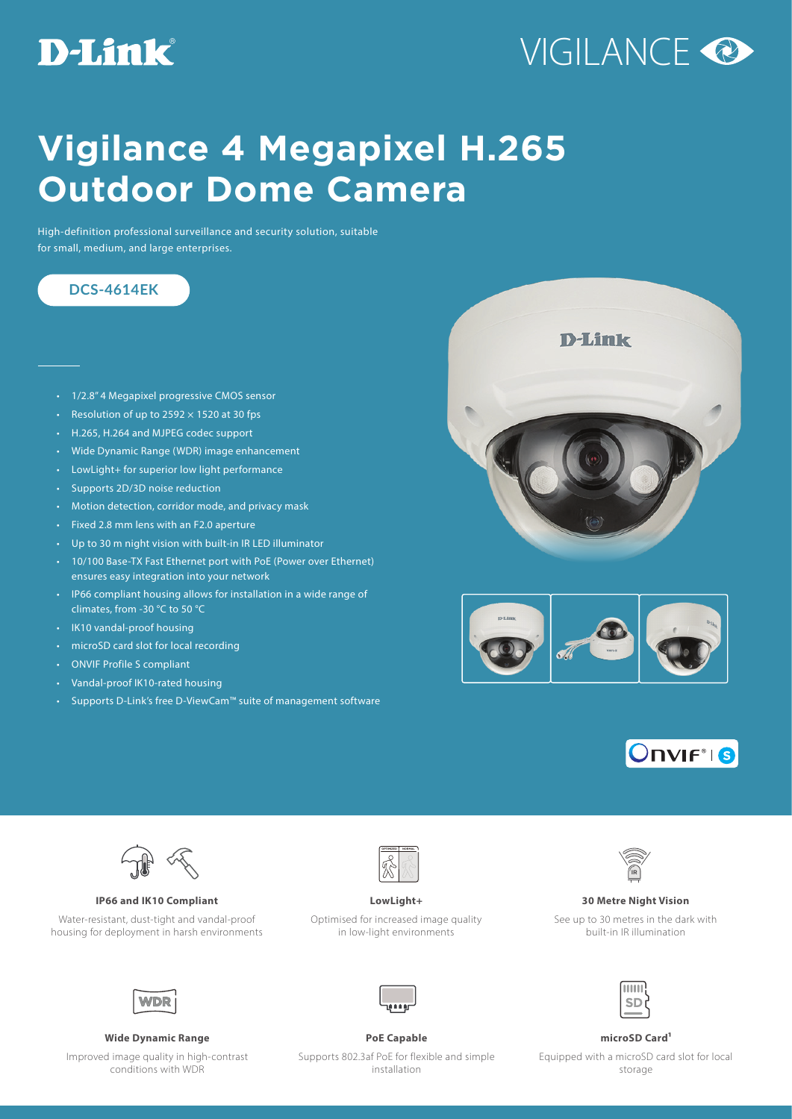### **D-Link**

# VIGILANCE<sup>O</sup>

## **Vigilance 4 Megapixel H.265 Outdoor Dome Camera**

High-definition professional surveillance and security solution, suitable for small, medium, and large enterprises.

### **DCS-4614EK**

- 1/2.8" 4 Megapixel progressive CMOS sensor
- Resolution of up to  $2592 \times 1520$  at 30 fps
- H.265, H.264 and MJPEG codec support
- Wide Dynamic Range (WDR) image enhancement
- LowLight+ for superior low light performance
- Supports 2D/3D noise reduction
- Motion detection, corridor mode, and privacy mask
- Fixed 2.8 mm lens with an F2.0 aperture
- Up to 30 m night vision with built-in IR LED illuminator
- 10/100 Base-TX Fast Ethernet port with PoE (Power over Ethernet) ensures easy integration into your network
- IP66 compliant housing allows for installation in a wide range of climates, from -30 °C to 50 °C
- IK10 vandal-proof housing
- microSD card slot for local recording
- ONVIF Profile S compliant
- Vandal-proof IK10-rated housing
- Supports D-Link's free D-ViewCam™ suite of management software









**IP66 and IK10 Compliant LowLight+ 30 Metre Night Vision**

Water-resistant, dust-tight and vandal-proof housing for deployment in harsh environments



Optimised for increased image quality in low-light environments



See up to 30 metres in the dark with built-in IR illumination



### **Wide Dynamic Range PoE Capable microSD Card1**

Improved image quality in high-contrast conditions with WDR





Supports 802.3af PoE for flexible and simple installation

Equipped with a microSD card slot for local storage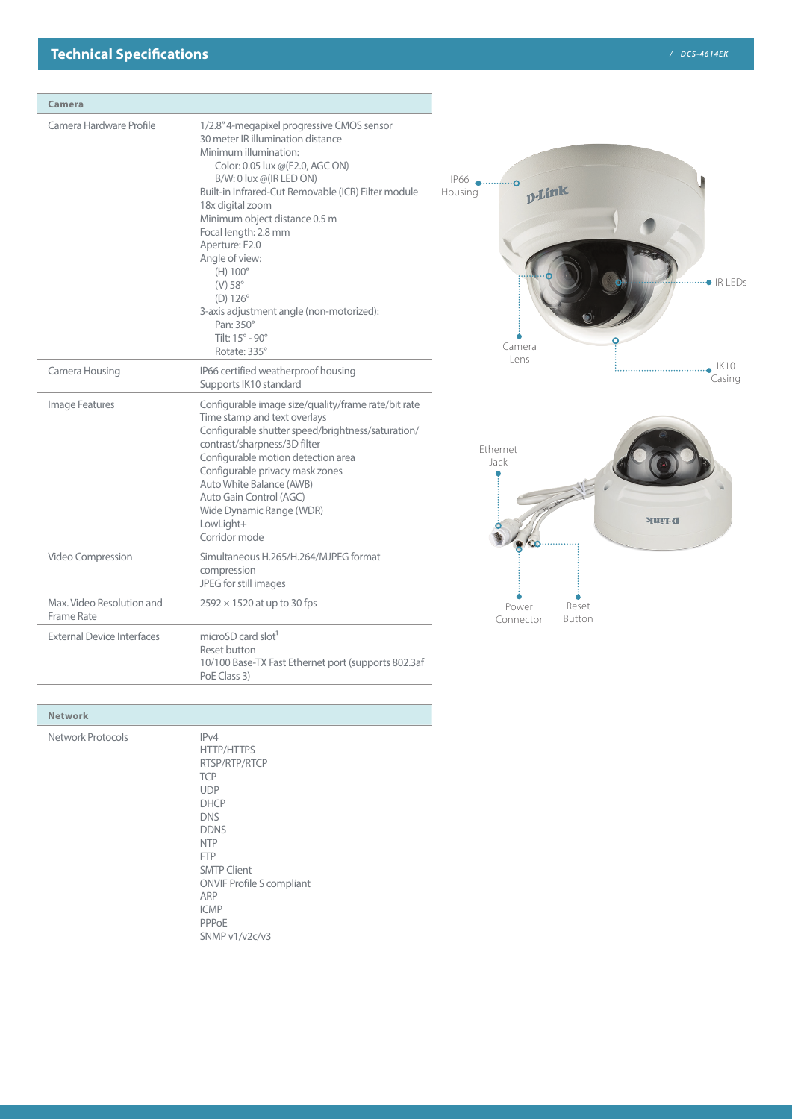| Camera                                  |                                                                                                                                                                                                                                                                                                                                                                                                                                                                                                    |                                                         |                        |
|-----------------------------------------|----------------------------------------------------------------------------------------------------------------------------------------------------------------------------------------------------------------------------------------------------------------------------------------------------------------------------------------------------------------------------------------------------------------------------------------------------------------------------------------------------|---------------------------------------------------------|------------------------|
| Camera Hardware Profile                 | 1/2.8" 4-megapixel progressive CMOS sensor<br>30 meter IR illumination distance<br>Minimum illumination:<br>Color: 0.05 lux @(F2.0, AGC ON)<br>B/W: 0 lux @(IR LED ON)<br>Built-in Infrared-Cut Removable (ICR) Filter module<br>18x digital zoom<br>Minimum object distance 0.5 m<br>Focal length: 2.8 mm<br>Aperture: F2.0<br>Angle of view:<br>$(H) 100^\circ$<br>$(V) 58^\circ$<br>$(D) 126^\circ$<br>3-axis adjustment angle (non-motorized):<br>Pan: 350°<br>Tilt: 15° - 90°<br>Rotate: 335° | IP66 ●  o<br><b>D-Link</b><br>Housing<br>Camera<br>Lens | $\bullet$ IR LEDs<br>r |
| Camera Housing                          | IP66 certified weatherproof housing<br>Supports IK10 standard                                                                                                                                                                                                                                                                                                                                                                                                                                      |                                                         | IK10<br>Casing         |
| Image Features                          | Configurable image size/quality/frame rate/bit rate<br>Time stamp and text overlays<br>Configurable shutter speed/brightness/saturation/<br>contrast/sharpness/3D filter<br>Configurable motion detection area<br>Configurable privacy mask zones<br>Auto White Balance (AWB)<br>Auto Gain Control (AGC)<br>Wide Dynamic Range (WDR)<br>LowLight+<br>Corridor mode                                                                                                                                 | Ethernet<br>Jack                                        | D-TIUF                 |
| Video Compression                       | Simultaneous H.265/H.264/MJPEG format<br>compression<br>JPEG for still images                                                                                                                                                                                                                                                                                                                                                                                                                      |                                                         |                        |
| Max. Video Resolution and<br>Frame Rate | $2592 \times 1520$ at up to 30 fps                                                                                                                                                                                                                                                                                                                                                                                                                                                                 | Power<br>Connector                                      | Reset<br>Button        |
| <b>External Device Interfaces</b>       | microSD card slot <sup>1</sup><br>Reset button                                                                                                                                                                                                                                                                                                                                                                                                                                                     |                                                         |                        |

| <b>Network</b>    |                                                                                                                                                                                                                                                           |
|-------------------|-----------------------------------------------------------------------------------------------------------------------------------------------------------------------------------------------------------------------------------------------------------|
| Network Protocols | IPv4<br><b>HTTP/HTTPS</b><br>RTSP/RTP/RTCP<br><b>TCP</b><br><b>UDP</b><br><b>DHCP</b><br><b>DNS</b><br><b>DDNS</b><br><b>NTP</b><br><b>FTP</b><br><b>SMTP Client</b><br><b>ONVIF Profile S compliant</b><br>ARP<br><b>ICMP</b><br>PPPoE<br>SNMP v1/v2c/v3 |

PoE Class 3)

10/100 Base-TX Fast Ethernet port (supports 802.3af